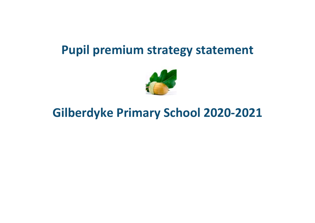## **Pupil premium strategy statement**



# **Gilberdyke Primary School 2020-2021**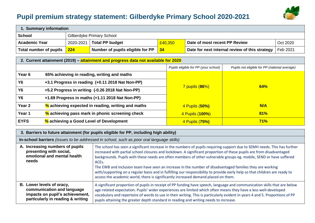### **Pupil premium strategy statement: Gilberdyke Primary School 2020-2021**



| 1. Summary information                                                                |                                                  |                                                       |                                                      |                       |                                                |     |          |
|---------------------------------------------------------------------------------------|--------------------------------------------------|-------------------------------------------------------|------------------------------------------------------|-----------------------|------------------------------------------------|-----|----------|
| <b>School</b>                                                                         | Gilberdyke Primary School                        |                                                       |                                                      |                       |                                                |     |          |
| <b>Academic Year</b>                                                                  | 2020-2021                                        | <b>Total PP budget</b>                                | £40,350<br>Date of most recent PP Review<br>Oct 2020 |                       |                                                |     |          |
| Total number of pupils                                                                | 224                                              | Number of pupils eligible for PP                      | 34                                                   |                       | Date for next internal review of this strategy |     | Feb 2021 |
| 2. Current attainment (2019) – attainment and progress data not available for 2020    |                                                  |                                                       |                                                      |                       |                                                |     |          |
| Pupils eligible for PP (your school)<br>Pupils not eligible for PP (national average) |                                                  |                                                       |                                                      |                       |                                                |     |          |
| Year <sub>6</sub>                                                                     | 65% achieving in reading, writing and maths      |                                                       |                                                      |                       |                                                |     |          |
| <b>Y6</b>                                                                             | +3.1 Progress in reading (+0.11 2018 Nat Non-PP) |                                                       |                                                      |                       |                                                |     |          |
| <b>Y6</b>                                                                             |                                                  | +5.2 Progress in writing (-0.26 2018 Nat Non-PP)      |                                                      | <b>7 pupils (86%)</b> |                                                | 64% |          |
| Y6                                                                                    |                                                  | +1.69 Progress in maths (+1.11 2018 Nat Non-PP)       |                                                      |                       |                                                |     |          |
| Year <sub>2</sub>                                                                     |                                                  | $\%$ achieving expected in reading, writing and maths |                                                      |                       | N/A<br>4 Pupils (50%)                          |     |          |
| Year 1<br>% achieving pass mark in phonic screening check                             |                                                  |                                                       |                                                      | 4 Pupils (100%)       | 81%                                            |     |          |
| <b>EYFS</b>                                                                           |                                                  | % achieving a Good Level of Development               |                                                      |                       | 4 Pupils (75%)                                 | 71% |          |

|                                                                                                                                 | 3. Barriers to future attainment (for pupils eligible for PP, including high ability)                                                                                                                                                                                                                                                                                                                                                                                                                                                                                                                                                                                                                                            |  |  |  |  |
|---------------------------------------------------------------------------------------------------------------------------------|----------------------------------------------------------------------------------------------------------------------------------------------------------------------------------------------------------------------------------------------------------------------------------------------------------------------------------------------------------------------------------------------------------------------------------------------------------------------------------------------------------------------------------------------------------------------------------------------------------------------------------------------------------------------------------------------------------------------------------|--|--|--|--|
| In-school barriers (issues to be addressed in school, such as poor oral language skills)                                        |                                                                                                                                                                                                                                                                                                                                                                                                                                                                                                                                                                                                                                                                                                                                  |  |  |  |  |
| A. Increasing numbers of pupils<br>presenting with social,<br>emotional and mental health<br>needs                              | The school has seen a significant increase in the numbers of pupils requiring support due to SEMH needs. This has further<br>increased with partial school closures and lockdown. A significant proportion of these pupils are from disadvantaged<br>backgrounds. Pupils with these needs are often members of other vulnerable groups eg. mobile, SEND or have suffered<br>ACE <sub>s</sub> .<br>The EWB and inclusion team have seen an increase in the number of disadvantaged families they are working<br>with/supporting on a regular basis and in fulfilling our responsibility to provide early help so that children are ready to<br>access the academic world, there is significantly increased demand placed on them. |  |  |  |  |
| B. Lower levels of oracy,<br>communication and language<br>impacts on pupil's achievement,<br>particularly in reading & writing | A significant proportion of pupils in receipt of PP funding have speech, language and communication skills that are below<br>age-related expectation. Pupils' wider experiences are limited which often means they have a less well-developed<br>vocabulary and repertoire of words to use in their writing. This is particularly evident in years 4 and 5. Proportions of PP<br>pupils attaining the greater depth standard in reading and writing needs to increase.                                                                                                                                                                                                                                                           |  |  |  |  |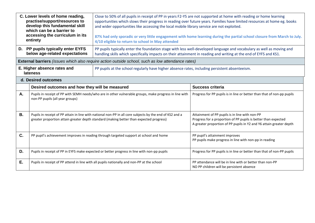|           | C. Lower levels of home reading,<br>practise/support/resources to<br>develop this fundamental skill<br>which can be a barrier to<br>accessing the curriculum in its<br>entirety                     | Close to 50% of all pupils in receipt of PP in years F2-Y5 are not supported at home with reading or home learning<br>opportunities which slows their progress in reading over future years. Families have limited resources at home eg. books<br>and wider opportunities like accessing the local mobile library service are not exploited.<br>87% had only sporadic or very little engagement with home learning during the partial school closure from March to July.<br>4/10 eligible to return to school in May attended |                                                                                                                                                                                         |  |  |  |
|-----------|-----------------------------------------------------------------------------------------------------------------------------------------------------------------------------------------------------|-------------------------------------------------------------------------------------------------------------------------------------------------------------------------------------------------------------------------------------------------------------------------------------------------------------------------------------------------------------------------------------------------------------------------------------------------------------------------------------------------------------------------------|-----------------------------------------------------------------------------------------------------------------------------------------------------------------------------------------|--|--|--|
|           | D. PP pupils typically enter EYFS<br>below age-related expectations                                                                                                                                 | PP pupils typically enter the foundation stage with less well-developed language and vocabulary as well as moving and<br>handling skills which specifically impacts on their attainment in reading and writing at the end of EYFS and KS1.                                                                                                                                                                                                                                                                                    |                                                                                                                                                                                         |  |  |  |
|           |                                                                                                                                                                                                     | <b>External barriers</b> (issues which also require action outside school, such as low attendance rates)                                                                                                                                                                                                                                                                                                                                                                                                                      |                                                                                                                                                                                         |  |  |  |
|           | E. Higher absence rates and<br><b>lateness</b>                                                                                                                                                      | PP pupils at the school regularly have higher absence rates, including persistent absenteeism.                                                                                                                                                                                                                                                                                                                                                                                                                                |                                                                                                                                                                                         |  |  |  |
|           | d. Desired outcomes                                                                                                                                                                                 |                                                                                                                                                                                                                                                                                                                                                                                                                                                                                                                               |                                                                                                                                                                                         |  |  |  |
|           | Desired outcomes and how they will be measured                                                                                                                                                      |                                                                                                                                                                                                                                                                                                                                                                                                                                                                                                                               | <b>Success criteria</b>                                                                                                                                                                 |  |  |  |
| Α.        | Pupils in receipt of PP with SEMH needs/who are in other vulnerable groups, make progress in line with<br>non-PP pupils (all year groups)                                                           |                                                                                                                                                                                                                                                                                                                                                                                                                                                                                                                               | Progress for PP pupils is in line or better than that of non-pp pupils                                                                                                                  |  |  |  |
| <b>B.</b> | Pupils in receipt of PP attain in line with national non-PP in all core subjects by the end of KS2 and a<br>greater proportion attain greater depth standard (making better than expected progress) |                                                                                                                                                                                                                                                                                                                                                                                                                                                                                                                               | Attainment of PP pupils is in line with non-PP<br>Progress for a proportion of PP pupils is better than expected<br>A greater proportion of PP pupils in Y2 and Y6 attain greater depth |  |  |  |
| C.        | PP pupil's achievement improves in reading through targeted support at school and home                                                                                                              |                                                                                                                                                                                                                                                                                                                                                                                                                                                                                                                               | PP pupil's attainment improves<br>PP pupils make progress in line with non-pp in reading                                                                                                |  |  |  |
| D.        |                                                                                                                                                                                                     | Pupils in receipt of PP in EYFS make expected or better progress in line with non-pp pupils                                                                                                                                                                                                                                                                                                                                                                                                                                   | Progress for PP pupils is in line or better than that of non-PP pupils                                                                                                                  |  |  |  |
| E.        |                                                                                                                                                                                                     | Pupils in receipt of PP attend in line with all pupils nationally and non-PP at the school                                                                                                                                                                                                                                                                                                                                                                                                                                    | PP attendance will be in line with or better than non-PP<br>NO PP children will be persistent absence                                                                                   |  |  |  |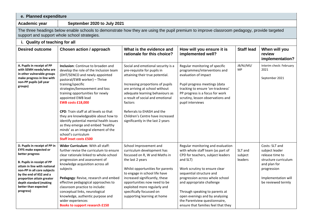#### **e. Planned expenditure**

**Academic year September 2020 to July 2021**

The three headings below enable schools to demonstrate how they are using the pupil premium to improve classroom pedagogy, provide targeted support and support whole school strategies.

| <b>Desired outcome</b>                                                                                                                                                                                                                                                                                      | <b>Chosen action / approach</b>                                                                                                                                                                                                                                                                                                                                                                                                                                                                                                                                | What is the evidence and<br>rationale for this choice?                                                                                                                                                                                                                                                                                                              | How will you ensure it is<br>implemented well?                                                                                                                                                                                                                                                                                                                                                   | <b>Staff lead</b>             | When will you<br>review<br>implementation?                                                                                                              |
|-------------------------------------------------------------------------------------------------------------------------------------------------------------------------------------------------------------------------------------------------------------------------------------------------------------|----------------------------------------------------------------------------------------------------------------------------------------------------------------------------------------------------------------------------------------------------------------------------------------------------------------------------------------------------------------------------------------------------------------------------------------------------------------------------------------------------------------------------------------------------------------|---------------------------------------------------------------------------------------------------------------------------------------------------------------------------------------------------------------------------------------------------------------------------------------------------------------------------------------------------------------------|--------------------------------------------------------------------------------------------------------------------------------------------------------------------------------------------------------------------------------------------------------------------------------------------------------------------------------------------------------------------------------------------------|-------------------------------|---------------------------------------------------------------------------------------------------------------------------------------------------------|
| A. Pupils in receipt of PP<br>with SEMH needs/who are<br>in other vulnerable groups<br>make progress in line with<br>non-PP pupils (all year<br>groups)                                                                                                                                                     | Inclusion: Continue to broaden and<br>develop the role of the Inclusion team<br>(DHT/SENCO and newly appointed<br>pastoral/EWB worker) - Thrive<br>training/specific<br>strategies/bereavement and loss<br>training opportunities for newly<br>appointed EWB lead<br><b>EWB costs £18,000</b><br>CPD: Train staff at all levels so that<br>they are knowledgeable about how to<br>identify potential mental health issues<br>as they emerge and embed 'healthy<br>minds' as an integral element of the<br>school's curriculum<br><b>Staff inset costs £500</b> | Social and emotional security is a<br>pre-requisite for pupils in<br>attaining their true potential.<br>Increasing proportions of pupils<br>are arriving at school without<br>adequate learning behaviours as<br>a result of social and emotional<br>factors<br>Referrals to EHASH and the<br>Children's Centre have increased<br>significantly in the last 2 years | Regular monitoring of specific<br>programmes/interventions and<br>evaluation of impact<br>Pupil progress meetings (data<br>tracking to ensure 'on-trackness'<br>PP progress is a focus for work<br>scrutiny, lesson observations and<br>pupil interviews                                                                                                                                         | JB/NJ/MS/<br>MP               | Interim check: February<br>2021<br>September 2021                                                                                                       |
| D. Pupils in receipt of PP in<br><b>EYFS make expected or</b><br>better progress<br><b>B. Pupils in receipt of PP</b><br>attain in line with national<br>non-PP in all core subjects<br>by the end of KS2 and a<br>proportion attain greater<br>depth standard (making<br>better than expected<br>progress) | Wider Curriculum: With all staff:<br>further revise the curriculum to ensure<br>clear rationale linked to whole-school<br>progression and assessment of<br>knowledge acquisition across all<br>subjects<br>Pedagogy: Revise, research and embed<br>effective pedagogical approaches to<br>classroom practice to include:<br>conceptual links, neurological<br>knowledge, authentic purpose and<br>wider experiences<br><b>Books to support research £150</b>                                                                                                   | School Improvement and<br>curriculum development has<br>focussed on R, W and Maths in<br>the last 2 years<br>Whilst opportunities for parents<br>to engage in school life have<br>increased significantly, these<br>opportunities now need to be<br>exploited more regularly and<br>specifically focussed on<br>supporting learning at home                         | Regular monitoring and evaluation<br>with whole staff team (as part of<br>CPD for teachers, subject leaders<br>and SLT)<br>Work scrutiny to ensure clear<br>sequential structure and<br>progression across whole school<br>and appropriate challenge<br>Through speaking to parents at<br>open evenings and by analysing<br>the Parentview questionnaire,<br>ensure that families feel that they | SLT and<br>subject<br>leaders | Costs: SLT and<br>subject leader<br>release time to<br>structure curriculum<br>and plan for<br>progression<br>Implementation will<br>be reviewed termly |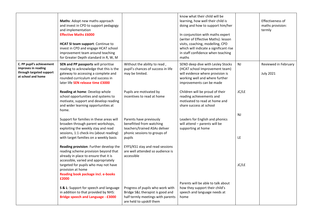|                                                                                                    | Maths: Adopt new maths approach<br>and invest in CPD to support pedagogy<br>and implementation<br><b>Effective Maths £6000</b><br>HCAT SI team support: Continue to<br>invest in CPD and engage HCAT school<br>improvement team around teaching<br>for Greater Depth standard in R, W, M |                                                                                                                                       | know what their child will be<br>learning, how well their child is<br>doing and how to support him/her<br>In conjunction with maths expert<br>(writer of Effective Maths): lesson<br>visits, coaching, modelling, CPD<br>which will indicate a significant rise<br>in staff confidence when teaching<br>maths |           | Effectiveness of<br>maths provision:<br>termly |
|----------------------------------------------------------------------------------------------------|------------------------------------------------------------------------------------------------------------------------------------------------------------------------------------------------------------------------------------------------------------------------------------------|---------------------------------------------------------------------------------------------------------------------------------------|---------------------------------------------------------------------------------------------------------------------------------------------------------------------------------------------------------------------------------------------------------------------------------------------------------------|-----------|------------------------------------------------|
| C. PP pupil's achievement<br>improves in reading<br>through targeted support<br>at school and home | SEN and PP passports will prioritise<br>reading to acknowledge that this is the<br>gateway to accessing a complete and<br>rounded curriculum and success in<br>later life SEN release time £3000                                                                                         | Without the ability to read,<br>pupil's chances of success in life<br>may be limited.                                                 | SEND deep dive with Lesley Stocks<br>(HCAT school Improvement team)<br>will evidence where provision is<br>working well and where further<br>improvements can be made                                                                                                                                         | NJ        | Reviewed in February<br><b>July 2021</b>       |
|                                                                                                    | Reading at home: Develop whole<br>school opportunities and systems to<br>motivate, support and develop reading<br>and wider learning opportunities at<br>home.                                                                                                                           | Pupils are motivated by<br>incentives to read at home                                                                                 | Children will be proud of their<br>reading achievements and<br>motivated to read at home and<br>share success at school                                                                                                                                                                                       | JC/LE     |                                                |
|                                                                                                    | Support for families in these areas will<br>broaden through parent workshops,<br>exploiting the weekly stay and read<br>sessions, 1:1 check-ins (about reading)<br>with target families on a weekly basis                                                                                | Parents have previously<br>benefitted from watching<br>teachers/trained ASAs deliver<br>phonic sessions to groups of<br>pupils        | Leaders for English and phonics<br>will attend - parents will be<br>supporting at home                                                                                                                                                                                                                        | NJ<br>LE. |                                                |
|                                                                                                    | Reading provision: Further develop the<br>reading scheme provision beyond that<br>already in place to ensure that it is<br>accessible, varied and appropriately<br>targeted for pupils who may not have<br>provision at home                                                             | EYFS/KS1 stay and read sessions<br>are well attended so audience is<br>accessible                                                     |                                                                                                                                                                                                                                                                                                               | JC/LE     |                                                |
|                                                                                                    | Reading book package incl. e-books<br>£2000                                                                                                                                                                                                                                              |                                                                                                                                       | Parents will be able to talk about                                                                                                                                                                                                                                                                            |           |                                                |
|                                                                                                    | S & L: Support for speech and language<br>in addition to that provided by NHS:<br><b>Bridge speech and Language - £3000</b>                                                                                                                                                              | Progress of pupils who work with<br>Bridge S&L therapist is good and<br>half termly meetings with parents<br>are held to upskill them | how they support their child's<br>speech and language needs at<br>home                                                                                                                                                                                                                                        |           |                                                |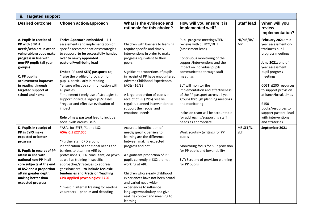|                                                                                                                                                                                                                                                                                               | ii. Targeted support                                                                                                                                                                                                                                                                                                                                                                                                                                                                                                                                                                       |                                                                                                                                                                                                                                                                                                                                                                                                                                          |                                                                                                                                                                                                                                                                                                                                                                                                                                                                               |                         |                                                                                                                                                                                                                                                                                                                                 |  |  |
|-----------------------------------------------------------------------------------------------------------------------------------------------------------------------------------------------------------------------------------------------------------------------------------------------|--------------------------------------------------------------------------------------------------------------------------------------------------------------------------------------------------------------------------------------------------------------------------------------------------------------------------------------------------------------------------------------------------------------------------------------------------------------------------------------------------------------------------------------------------------------------------------------------|------------------------------------------------------------------------------------------------------------------------------------------------------------------------------------------------------------------------------------------------------------------------------------------------------------------------------------------------------------------------------------------------------------------------------------------|-------------------------------------------------------------------------------------------------------------------------------------------------------------------------------------------------------------------------------------------------------------------------------------------------------------------------------------------------------------------------------------------------------------------------------------------------------------------------------|-------------------------|---------------------------------------------------------------------------------------------------------------------------------------------------------------------------------------------------------------------------------------------------------------------------------------------------------------------------------|--|--|
| <b>Desired outcome</b>                                                                                                                                                                                                                                                                        | <b>Chosen action/approach</b>                                                                                                                                                                                                                                                                                                                                                                                                                                                                                                                                                              | What is the evidence and<br>rationale for this choice?                                                                                                                                                                                                                                                                                                                                                                                   | How will you ensure it is<br>implemented well?                                                                                                                                                                                                                                                                                                                                                                                                                                | <b>Staff lead</b>       | When will you<br>review<br>implementation?                                                                                                                                                                                                                                                                                      |  |  |
| A. Pupils in receipt of<br><b>PP with SEMH</b><br>needs/who are in other<br>vulnerable groups make<br>progress in line with<br>non-PP pupils (all year<br>groups)<br>C. PP pupil's<br>achievement improves<br>in reading through<br>targeted support at<br>school and home                    | Thrive Approach embedded $-1:1$<br>assessments and implementation of<br>specific recommendations/strategies<br>to support -to be successfully handed<br>over to newly appointed<br>pastoral/well-being lead<br>Embed PP (and SEN) passports to;<br>*raise the profile of provision for<br>pupils, particularly in reading<br>*ensure effective communication with<br>all parties<br>*implement timely use of strategies to<br>support individuals/groups/classes<br>*regular and effective evaluation of<br>impact<br>Role of new pastoral lead to include:<br>social skills groups. self- | Children with barriers to learning<br>require specific and timely<br>interventions in order to make<br>progress equivalent to their<br>peers.<br>Significant proportions of pupils<br>in receipt of PP have encountered<br>Adverse Childhood Experiences<br>(ACEs) 16/33<br>A large proportion of pupils in<br>receipt of PP (39%) receive<br>regular, planned intervention to<br>support their social and<br>emotional needs            | Pupil progress meetings/SEN<br>reviews with SENCO/DHT<br>(assessment lead)<br>Continuous monitoring of the<br>support/interventions and the<br>impact on individual pupils<br>communicated through staff<br>meetings<br>SLT will monitor the<br>implementation and effectiveness<br>of the PP passport across all year<br>groups through planning meetings<br>and monitoring<br>Inclusion team will be accountable<br>for addressing/supporting staff<br>needs as appropriate | NJ/MS/JB/<br><b>MP</b>  | February 2021: mid-<br>vear assessment on-<br>trackness pupil<br>progress meetings<br>June 2021: end of<br>vear assessment<br>pupil progress<br>meetings<br>COST: £200 resources<br>to support provision<br>at lunch/break times<br>£150<br>books/resources to<br>support pastoral lead<br>with interventions<br>and strategies |  |  |
| D. Pupils in receipt of<br>PP in EYFS make<br>expected or better<br>progress<br><b>B. Pupils in receipt of PP</b><br>attain in line with<br>national non-PP in all<br>core subjects at the end<br>of KS2 and a proportion<br>attain greater depth,<br>making better than<br>expected progress | *ASAs for EYFS, Y1 and KS2<br>ASAs 0.5 £27,000<br>*Further staff CPD around<br>identification of additional needs and<br>barriers to attaining ARE by<br>professionals, SEN consultant, ed psych<br>as well as training in specific<br>approaches/strategies to address<br>gaps/barriers - to include Dyslexic<br>tendencies and Precision Teaching<br><b>CPD Applied psychologies: £750</b><br>*Invest in internal training for reading<br>volunteers - phonics and decoding                                                                                                              | Accurate identification of<br>needs/specific barriers to<br>learning are the difference<br>between making expected<br>progress and not.<br>A significant proportion of PP<br>pupils currently in KS2 are not<br>working at ARE<br>Children whose early childhood<br>experiences have not been broad<br>and varied need wider<br>experiences to influence<br>language/vocabulary and give<br>real life context and meaning to<br>learning | Work scrutiny (writing) for PP<br>pupils<br>Monitoring focus for SLT: provision<br>for PP pupils and lower ability<br>SLT: Scrutiny of provision planning<br>for PP pupils                                                                                                                                                                                                                                                                                                    | MS SLT/NJ<br><b>SLT</b> | September 2021                                                                                                                                                                                                                                                                                                                  |  |  |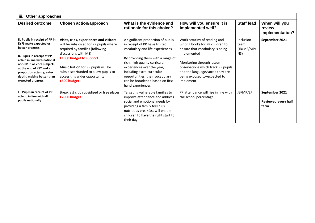| iii. Other approaches                                                                                                                                                                                                                                                                          |                                                                                                                                                                                                                                                                                                        |                                                                                                                                                                                                                                                                                                                                     |                                                                                                                                                                                                                                                                       |                                        |                                                      |
|------------------------------------------------------------------------------------------------------------------------------------------------------------------------------------------------------------------------------------------------------------------------------------------------|--------------------------------------------------------------------------------------------------------------------------------------------------------------------------------------------------------------------------------------------------------------------------------------------------------|-------------------------------------------------------------------------------------------------------------------------------------------------------------------------------------------------------------------------------------------------------------------------------------------------------------------------------------|-----------------------------------------------------------------------------------------------------------------------------------------------------------------------------------------------------------------------------------------------------------------------|----------------------------------------|------------------------------------------------------|
| <b>Desired outcome</b>                                                                                                                                                                                                                                                                         | Chosen action/approach                                                                                                                                                                                                                                                                                 | What is the evidence and<br>rationale for this choice?                                                                                                                                                                                                                                                                              | How will you ensure it is<br>implemented well?                                                                                                                                                                                                                        | <b>Staff lead</b>                      | When will you<br>review<br>implementation?           |
| D. Pupils in receipt of PP in<br><b>EYFS make expected or</b><br>better progress<br><b>B. Pupils in receipt of PP</b><br>attain in line with national<br>non-PP in all core subjects<br>at the end of KS2 and a<br>proportion attain greater<br>depth, making better than<br>expected progress | Visits, trips, experiences and visitors<br>will be subsidised for PP pupils where<br>required by families (following<br>discussions with MS)<br>£1000 budget to support<br>Music tuition for PP pupils will be<br>subsidised/funded to allow pupils to<br>access this wider opportunity<br>£500 budget | A significant proportion of pupils<br>in receipt of PP have limited<br>vocabulary and life experiences<br>By providing them with a range of<br>rich, high quality curricular<br>experiences over the year,<br>including extra-curricular<br>opportunities, their vocabulary<br>can be broadened based on first-<br>hand experiences | Work scrutiny of reading and<br>writing books for PP children to<br>ensure that vocabulary is being<br>implemented<br>Monitoring through lesson<br>observations which track PP pupils<br>and the language/vocab they are<br>being exposed to/expected to<br>implement | Inclusion<br>team<br>(JB/MS/MP/<br>NS) | September 2021                                       |
| E. Pupils in receipt of PP<br>attend in line with all<br>pupils nationally                                                                                                                                                                                                                     | Breakfast club subsidised or free places<br>£2000 budget                                                                                                                                                                                                                                               | Targeting vulnerable families to<br>improve attendance and address<br>social and emotional needs by<br>providing a family feel plus<br>nutritious breakfast will enable<br>children to have the right start to<br>their day                                                                                                         | PP attendance will rise in line with<br>the school percentage                                                                                                                                                                                                         | JB/MP/EJ                               | September 2021<br><b>Reviewed every half</b><br>term |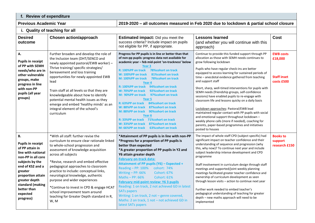| f. Review of expenditure      |                                |
|-------------------------------|--------------------------------|
| <b>Previous Academic Year</b> | 2019-2020 - all outcomes measu |

**Previous Academic Year 2019-2020 – all outcomes measured in Feb 2020 due to lockdown & partial school closure**

### **i. Quality of teaching for all**

| <b>Desired</b><br>outcome                                                                                                                                                                                                                                | <b>Chosen action/approach</b>                                                                                                                                                                                                                                                                                                                                                                                                                                                                                          | <b>Estimated impact:</b> Did you meet the<br>success criteria? Include impact on pupils<br>not eligible for PP, if appropriate.                                                                                                                                                                                                                                                                                                                                                                                                                                                                                                                                                                                                                                                                  | <b>Lessons learned</b><br>(and whether you will continue with this<br>approach)                                                                                                                                                                                                                                                                                                                                                                                                                                                                                                                                                                                                                                                                                                                                       | <b>Cost</b>                                                     |
|----------------------------------------------------------------------------------------------------------------------------------------------------------------------------------------------------------------------------------------------------------|------------------------------------------------------------------------------------------------------------------------------------------------------------------------------------------------------------------------------------------------------------------------------------------------------------------------------------------------------------------------------------------------------------------------------------------------------------------------------------------------------------------------|--------------------------------------------------------------------------------------------------------------------------------------------------------------------------------------------------------------------------------------------------------------------------------------------------------------------------------------------------------------------------------------------------------------------------------------------------------------------------------------------------------------------------------------------------------------------------------------------------------------------------------------------------------------------------------------------------------------------------------------------------------------------------------------------------|-----------------------------------------------------------------------------------------------------------------------------------------------------------------------------------------------------------------------------------------------------------------------------------------------------------------------------------------------------------------------------------------------------------------------------------------------------------------------------------------------------------------------------------------------------------------------------------------------------------------------------------------------------------------------------------------------------------------------------------------------------------------------------------------------------------------------|-----------------------------------------------------------------|
| А.<br><b>Pupils in receipt</b><br>of PP with SEMH<br>needs/who are in<br>other vulnerable<br>groups, make<br>progress in line<br>with non-PP<br>pupils (all year<br>groups)                                                                              | Further broaden and develop the role of<br>the Inclusion team (DHT/SENCO and<br>newly appointed pastoral/EWB worker) -<br>Thrive training/ specific strategies/<br>bereavement and loss training<br>opportunities for newly appointed EWB<br>lead<br>Train staff at all levels so that they are<br>knowledgeable about how to identify<br>potential mental health issues as they<br>emerge and embed 'healthy minds' as an<br>integral element of the school's<br>curriculum                                           | Progress for PP pupils is in line or better than that<br>of non-pp pupils: progress data not available for<br>academic year - feb mid-point 'on-trackness' below<br>Year <sub>3</sub><br>R: 100%PP on track<br><b>78%cohort on track</b><br>81%cohort on track<br>W: 100%PP on track<br><b>78%cohort on track</b><br>M: 100%PP on track<br>Year 4<br>R: 100%PP on track<br>94% cohort on track<br>W: 70%PP on track<br>92% cohort on track<br>97% cohort on track<br>M: 90%PP on track<br>Year <sub>5</sub><br>R: 63%PP on track<br>84% cohort on track<br>87% cohort on track<br>W: 88%PP on track<br>90% cohort on track<br>M: 88%PP on track<br>Year 6<br>R: 33%PP on track 71% cohort on track<br>W: 33%PP on track<br>87% cohort on track<br><b>63%cohort on track</b><br>M: 66%PP on track | Continue to provide this funded support through PP<br>allocation as those with SEMH needs continues to<br>grow following lockdown<br>Pupils who have regular check-ins are better<br>equipped to access learning for sustained periods of<br>time - anecdotal evidence gathered from teaching<br>and support staff<br>Short, sharp, well-timed interventions for pupils with<br>SEMH needs (friendship groups, self-confidence<br>sessions) have enabled pupils to re-engage with<br>classroom life and lessons quicky on a daily basis<br>Lockdown approaches: Pastoral/EWB lead<br>maintained regular contact with PP pupils with social<br>and emotional support throughout lockdown -<br>weekly phone calls (more if needed), coaching for<br>parents, paper-based programmes and initiatives<br>posted to houses | <b>EWB costs</b><br>£18,000<br><b>Staff inset</b><br>costs £500 |
| <b>B.</b><br><b>Pupils in receipt</b><br>of PP attain in<br>line with national<br>non-PP in all core<br>subjects by the<br>end of KS2 and a<br>greater<br>proportion attain<br>greater depth<br>standard (making<br>better than<br>expected<br>progress) | *With all staff: further revise the<br>curriculum to ensure clear rationale linked<br>to whole-school progression and<br>assessment of knowledge acquisition<br>across all subjects<br>*Revise, research and embed effective<br>pedagogical approaches to classroom<br>practice to include: conceptual links,<br>neurological knowledge, authentic<br>purpose and wider experiences<br>*Continue to invest in CPD & engage HCAT<br>school improvement team around<br>teaching for Greater Depth standard in R,<br>W, M | *Attainment of PP pupils is in line with non-PP<br>*Progress for a proportion of PP pupils is<br>better than expected<br>*A greater proportion of PP pupils in Y2 and<br>Y6 attain greater depth<br><b>February on-track data:</b><br><b>Attainment of PP pupils (Y6) - Expected +</b><br>Reading - PP: 100% cohort: 74%<br>Writing - PP: 66%<br><b>Cohort: 67%</b><br>Maths $-$ PP: 66%<br><b>Cohort: 61%</b><br><b>February mid-point review: Y6 3 pupils</b><br>Reading: 1 on track, 2 not achieved GD in latest<br><b>SATs papers</b><br>Writing: 1 on track, 2 not - genre covered,<br>Maths: 2 on track, 1 not - not achieved GD in<br>latest SATs papers                                                                                                                                  | The impact of whole staff CPD (subject specific) had<br>significant impact on teacher confidence and their<br>understanding of sequence and progression (why<br>this, why now)? To continue next year and include<br>subject leadership intense development and CPD<br>programme<br>Staff involvement in curriculum design through staff<br>meetings and supported/joint weekly planning<br>meetings facilitated greater teacher confidence and<br>ownership of curriculum development as seen<br>through lesson visits - action to continue next year<br>Further work needed to embed teacher's<br>pedagogical understanding of teaching for greater<br>depth - new maths approach will need to be<br>implemented                                                                                                    | <b>Books to</b><br>support<br>research £150                     |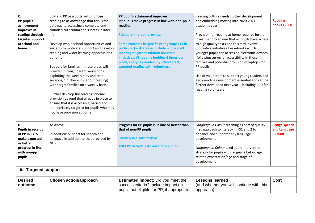| C.<br>PP pupil's<br>achievement<br>improves in<br>reading through<br>targeted support<br>at school and<br>home             | SEN and PP passports will prioritise<br>reading to acknowledge that this is the<br>gateway to accessing a complete and<br>rounded curriculum and success in later<br>life<br>Develop whole school opportunities and<br>systems to motivate, support and develop<br>reading and wider learning opportunities<br>at home<br>Support for families in these areas will<br>broaden through parent workshops,<br>exploiting the weekly stay and read<br>sessions, 1:1 check-ins (about reading)<br>with target families on a weekly basis,<br>Further develop the reading scheme<br>provision beyond that already in place to<br>ensure that it is accessible, varied and<br>appropriately targeted for pupils who may<br>not have provision at home | PP pupil's attainment improves<br>PP pupils make progress in line with non-pp in<br>reading<br><b>February mid-point review:</b><br>Some concerns in specific year groups (Y1 in<br>particular) - strategies include whole staff<br>meeting to gather solution focussed<br>initiatives, Y5 reading buddies 4 times per<br>week, everyday readers by school staff,<br>targeted reading with volunteers | Reading culture needs further development<br>and embedding moving into 2020-2021<br>academic year.<br>Provision for reading at home requires further<br>investment to ensure that all pupils have access<br>to high quality texts and this may involve<br>innovative initiatives like e-books which<br>younger pupils can access on electronic devices<br>(following survey of accessibility in those<br>families and potential provision of laptops for<br>PP pupils)<br>Use of volunteers to support young readers and<br>early reading development essential and can be<br>further developed next year - including CPD for<br>reading volunteers | <b>Reading</b><br>books £2000                    |
|----------------------------------------------------------------------------------------------------------------------------|------------------------------------------------------------------------------------------------------------------------------------------------------------------------------------------------------------------------------------------------------------------------------------------------------------------------------------------------------------------------------------------------------------------------------------------------------------------------------------------------------------------------------------------------------------------------------------------------------------------------------------------------------------------------------------------------------------------------------------------------|-------------------------------------------------------------------------------------------------------------------------------------------------------------------------------------------------------------------------------------------------------------------------------------------------------------------------------------------------------------------------------------------------------|-----------------------------------------------------------------------------------------------------------------------------------------------------------------------------------------------------------------------------------------------------------------------------------------------------------------------------------------------------------------------------------------------------------------------------------------------------------------------------------------------------------------------------------------------------------------------------------------------------------------------------------------------------|--------------------------------------------------|
| D.<br><b>Pupils in receipt</b><br>of PP in EYFS<br>make expected<br>or better<br>progress in line<br>with non-pp<br>pupils | As Above<br>In addition: Support for speech and<br>language in addition to that provided by<br><b>NHS</b>                                                                                                                                                                                                                                                                                                                                                                                                                                                                                                                                                                                                                                      | Progress for PP pupils is in line or better than<br>that of non-PP pupils<br><b>February mid-point review:</b><br>100% PP on track (2 did not attend our F1)                                                                                                                                                                                                                                          | Language in Colour teaching as part of quality<br>first approach to literacy in FS1 and 2 to<br>enhance and support early language<br>development<br>Language in Colour used as an intervention<br>strategy for pupils with language below age<br>related expectation/age and stage of<br>development                                                                                                                                                                                                                                                                                                                                               | <b>Bridge speech</b><br>and Language<br>$-£3000$ |
| ii. Targeted support                                                                                                       |                                                                                                                                                                                                                                                                                                                                                                                                                                                                                                                                                                                                                                                                                                                                                |                                                                                                                                                                                                                                                                                                                                                                                                       |                                                                                                                                                                                                                                                                                                                                                                                                                                                                                                                                                                                                                                                     |                                                  |
| <b>Desired</b><br>outcome                                                                                                  | <b>Chosen action/approach</b>                                                                                                                                                                                                                                                                                                                                                                                                                                                                                                                                                                                                                                                                                                                  | <b>Estimated impact:</b> Did you meet the<br>success criteria? Include impact on<br>pupils not eligible for PP, if appropriate.                                                                                                                                                                                                                                                                       | <b>Lessons learned</b><br>(and whether you will continue with this<br>approach)                                                                                                                                                                                                                                                                                                                                                                                                                                                                                                                                                                     | Cost                                             |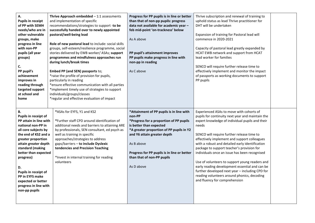| А.<br><b>Pupils in receipt</b><br>of PP with SEMH<br>needs/who are in<br>other vulnerable<br>groups, make<br>progress in line<br>with non-PP<br>pupils (all year<br>groups)<br>C.<br>PP pupil's<br>achievement<br>improves in<br>reading through<br>targeted support<br>at school and<br>home                                                             | Thrive Approach embedded $-1:1$ assessments<br>and implementation of specific<br>recommendations/strategies to support -to be<br>successfully handed over to newly appointed<br>pastoral/well-being lead<br>Role of new pastoral lead to include: social skills<br>groups, self-esteem/resilience programme, social<br>stories delivered by EWB worker/ ASAs; support<br>programmes and mindfulness approaches run<br>during lunch/break times<br>Embed PP (and SEN) passports to;<br>*raise the profile of provision for pupils,<br>particularly in reading<br>*ensure effective communication with all parties<br>*implement timely use of strategies to support<br>individuals/groups/classes<br>*regular and effective evaluation of impact | Progress for PP pupils is in line or better<br>than that of non-pp pupils: progress<br>data not available for academic year -<br>feb mid-point 'on-trackness' below<br>As A above<br>PP pupil's attainment improves<br>PP pupils make progress in line with<br>non-pp in reading<br>As C above               | Thrive subscription and renewal of training to<br>uphold status as lead Thrive practitioner for<br>DHT will be undertaken<br>Expansion of training for Pastoral lead will<br>commence in 2020-2021<br>Capacity of pastoral lead greatly expanded by<br>HCAT EWB network and support from HCAT<br>lead worker for families<br>SENCO will require further release time to<br>effectively implement and monitor the impact<br>of passports as working documents to support<br>PP pupils                                                                                                                                                            |  |
|-----------------------------------------------------------------------------------------------------------------------------------------------------------------------------------------------------------------------------------------------------------------------------------------------------------------------------------------------------------|-------------------------------------------------------------------------------------------------------------------------------------------------------------------------------------------------------------------------------------------------------------------------------------------------------------------------------------------------------------------------------------------------------------------------------------------------------------------------------------------------------------------------------------------------------------------------------------------------------------------------------------------------------------------------------------------------------------------------------------------------|--------------------------------------------------------------------------------------------------------------------------------------------------------------------------------------------------------------------------------------------------------------------------------------------------------------|-------------------------------------------------------------------------------------------------------------------------------------------------------------------------------------------------------------------------------------------------------------------------------------------------------------------------------------------------------------------------------------------------------------------------------------------------------------------------------------------------------------------------------------------------------------------------------------------------------------------------------------------------|--|
| <b>B.</b><br>Pupils in receipt of<br>PP attain in line with<br>national non-PP in<br>all core subjects by<br>the end of KS2 and a<br>greater proportion<br>attain greater depth<br>standard (making<br>better than expected<br>progress)<br>D.<br>Pupils in receipt of<br>PP in EYFS make<br>expected or better<br>progress in line with<br>non-pp pupils | *ASAs for EYFS, Y1 and KS2<br>*Further staff CPD around identification of<br>additional needs and barriers to attaining ARE<br>by professionals, SEN consultant, ed psych as<br>well as training in specific<br>approaches/strategies to address<br>gaps/barriers - to include Dyslexic<br>tendencies and Precision Teaching<br>*Invest in internal training for reading<br>volunteers                                                                                                                                                                                                                                                                                                                                                          | *Attainment of PP pupils is in line with<br>non-PP<br>*Progress for a proportion of PP pupils<br>is better than expected<br>*A greater proportion of PP pupils in Y2<br>and Y6 attain greater depth<br>As B above<br>Progress for PP pupils is in line or better<br>than that of non-PP pupils<br>As D above | Experienced ASAs to move with cohorts of<br>pupils for continuity next year and maintain the<br>expert knowledge of individual pupils and their<br>needs<br>SENCO will require further release time to<br>effectively implement and support colleagues<br>with a robust and detailed early identification<br>package to support teacher's provision for<br>individuals once an issue has been recognised<br>Use of volunteers to support young readers and<br>early reading development essential and can be<br>further developed next year - including CPD for<br>reading volunteers around phonics, decoding<br>and fluency for comprehension |  |